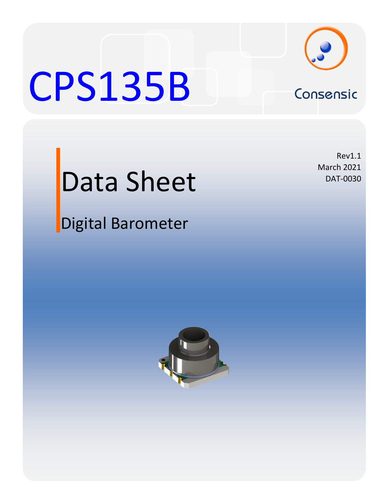

# CPS135B Consensic



# Data Sheet

Digital Barometer

Rev1.1 March 2021 DAT-0030

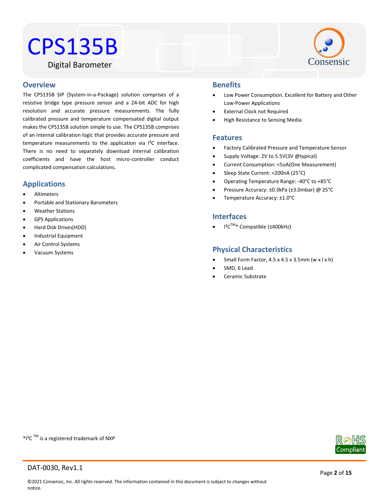# CPS135B





### Water Resistant **Overview**

The CPS135B SIP (System-in-a-Package) solution comprises of a resistive bridge type pressure sensor and a 24-bit ADC for high resolution and accurate pressure measurements. The fully calibrated pressure and temperature compensated digital output makes the CPS135B solution simple to use. The CPS135B comprises of an internal calibration logic that provides accurate pressure and temperature measurements to the application via I²C interface. There is no need to separately download internal calibration coefficients and have the host micro-controller conduct complicated compensation calculations.

# **Applications**

- Altimeters
- Portable and Stationary Barometers
- Weather Stations
- GPS Applications
- Hard Disk Drives(HDD)
- Industrial Equipment
- Air Control Systems
- Vacuum Systems

# **Benefits**

- Low Power Consumption. Excellent for Battery and Other Low-Power Applications
- External Clock not Required
- High Resistance to Sensing Media

# **Features**

- Factory Calibrated Pressure and Temperature Sensor
- Supply Voltage: 2V to 5.5V(3V @typical)
- Current Consumption: <5uA(One Measurement)
- Sleep State Current: <200nA (25°C)
- Operating Temperature Range: -40°C to +85°C
- Pressure Accuracy: ±0.3kPa (±3.0mbar) @ 25°C
- Temperature Accuracy: ±1.0°C

# **Interfaces**

I²CTM\* Compatible (≤400kHz)

# **Physical Characteristics**

- Small Form Factor, 4.5 x 4.5 x 3.5mm (w x l x h)
- SMD, 6 Lead
- Ceramic Substrate

 $*$ I<sup>2</sup>C <sup>TM</sup> is a registered trademark of NXP

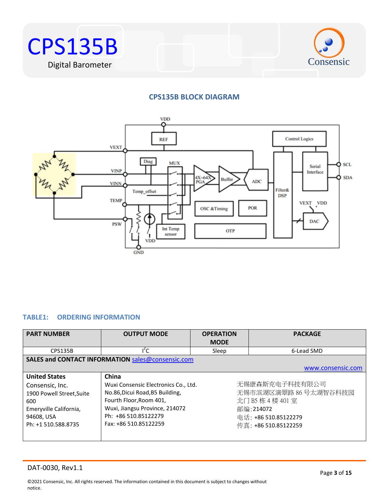



# **CPS135B BLOCK DIAGRAM**



# <span id="page-2-0"></span>**TABLE1: ORDERING INFORMATION**

| <b>PART NUMBER</b>                                                   | <b>OUTPUT MODE</b>                                                                                         | <b>OPERATION</b><br><b>MODE</b>                                                | <b>PACKAGE</b>                         |  |
|----------------------------------------------------------------------|------------------------------------------------------------------------------------------------------------|--------------------------------------------------------------------------------|----------------------------------------|--|
| CPS135B                                                              | $I^2C$                                                                                                     | Sleep                                                                          | 6-Lead SMD                             |  |
|                                                                      | SALES and CONTACT INFORMATION sales@consensic.com                                                          |                                                                                |                                        |  |
|                                                                      |                                                                                                            |                                                                                | www.consensic.com                      |  |
| <b>United States</b><br>Consensic, Inc.<br>1900 Powell Street, Suite | China<br>Wuxi Consensic Electronics Co., Ltd.<br>No.86, Dicui Road, B5 Building,                           |                                                                                | 无锡康森斯克电子科技有限公司<br>无锡市滨湖区滴翠路 86号太湖智谷科技园 |  |
| 600<br>Emeryville California,<br>94608, USA<br>Ph: +1 510.588.8735   | Fourth Floor, Room 401,<br>Wuxi, Jiangsu Province, 214072<br>Ph: +86 510.85122279<br>Fax: +86 510.85122259 | 北门 B5 栋 4 楼 401 室<br>邮编:214072<br>电话: +86 510.85122279<br>传真: +86 510.85122259 |                                        |  |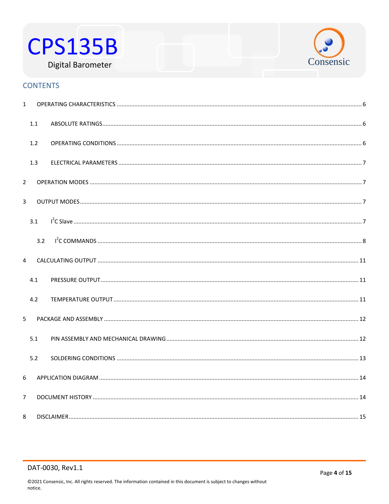



# **CONTENTS**

| $\mathbf{1}$   |     |  |
|----------------|-----|--|
|                | 1.1 |  |
|                | 1.2 |  |
|                | 1.3 |  |
| $\overline{2}$ |     |  |
| 3              |     |  |
|                | 3.1 |  |
|                | 3.2 |  |
| 4              |     |  |
|                | 4.1 |  |
|                | 4.2 |  |
| 5 <sup>5</sup> |     |  |
|                | 5.1 |  |
|                | 5.2 |  |
| 6              |     |  |
| $\overline{7}$ |     |  |
| 8              |     |  |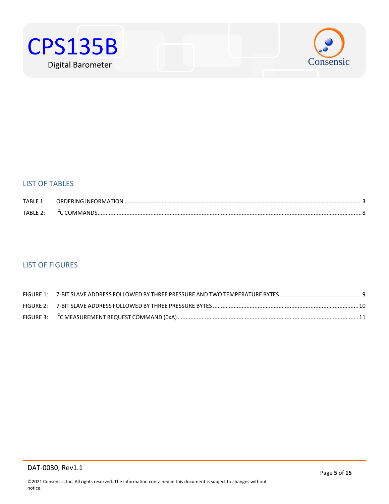



# LIST OF TABLES

| TABLF1:    | ORDERING INFORMATION. |  |
|------------|-----------------------|--|
| $TARIF$ ). |                       |  |

# LIST OF FIGURES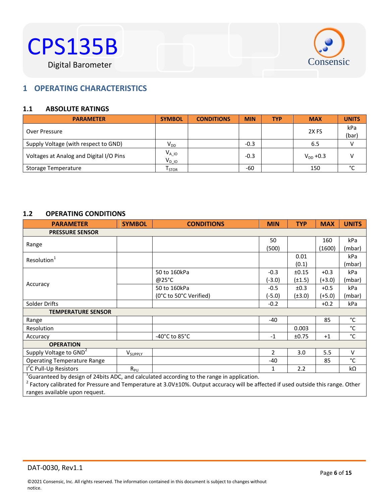



# <span id="page-5-0"></span> $B^{\text{max}}$ **1 OPERATING CHARACTERISTICS**

# <span id="page-5-1"></span>**1.1 ABSOLUTE RATINGS**

| <b>PARAMETER</b>                        | <b>SYMBOL</b>                | <b>CONDITIONS</b> | <b>MIN</b> | <b>TYP</b> | <b>MAX</b>       | <b>UNITS</b> |
|-----------------------------------------|------------------------------|-------------------|------------|------------|------------------|--------------|
| Over Pressure                           |                              |                   |            |            | 2X <sub>FS</sub> | kPa<br>(bar) |
| Supply Voltage (with respect to GND)    | V <sub>DD</sub>              |                   | $-0.3$     |            | 6.5              |              |
| Voltages at Analog and Digital I/O Pins | $V_{A\_10}$<br>$V_{DIO}$     |                   | $-0.3$     |            | $V_{DD} + 0.3$   |              |
| Storage Temperature                     | $\mathsf{T}_{\mathsf{STOR}}$ |                   | -60        |            | 150              | °С           |

# <span id="page-5-2"></span>**1.2 OPERATING CONDITIONS**

| <b>PARAMETER</b>                   | <b>SYMBOL</b>       | <b>CONDITIONS</b>                                                                                | <b>MIN</b>     | <b>TYP</b>  | <b>MAX</b> | <b>UNITS</b> |  |
|------------------------------------|---------------------|--------------------------------------------------------------------------------------------------|----------------|-------------|------------|--------------|--|
| <b>PRESSURE SENSOR</b>             |                     |                                                                                                  |                |             |            |              |  |
|                                    |                     |                                                                                                  | 50             |             | 160        | kPa          |  |
| Range                              |                     |                                                                                                  | (500)          |             | (1600)     | (mbar)       |  |
| Resolution <sup>1</sup>            |                     |                                                                                                  |                | 0.01        |            | kPa          |  |
|                                    |                     |                                                                                                  |                | (0.1)       |            | (mbar)       |  |
|                                    |                     | 50 to 160kPa                                                                                     | $-0.3$         | ±0.15       | $+0.3$     | kPa          |  |
|                                    |                     | @25°C                                                                                            | (-3.0)         | $(\pm 1.5)$ | (+3.0)     | (mbar)       |  |
| Accuracy                           |                     | 50 to 160kPa                                                                                     | $-0.5$         | ±0.3        | $+0.5$     | kPa          |  |
|                                    |                     | (0°C to 50°C Verified)                                                                           | $(-5.0)$       | $(\pm 3.0)$ | (+5.0)     | (mbar)       |  |
| Solder Drifts                      |                     |                                                                                                  | $-0.2$         |             | $+0.2$     | kPa          |  |
| <b>TEMPERATURE SENSOR</b>          |                     |                                                                                                  |                |             |            |              |  |
| Range                              |                     |                                                                                                  | $-40$          |             | 85         | °C           |  |
| Resolution                         |                     |                                                                                                  |                | 0.003       |            | $^{\circ}$ C |  |
| Accuracy                           |                     | -40 $^{\circ}$ C to 85 $^{\circ}$ C                                                              | $-1$           | ±0.75       | $+1$       | $^{\circ}$ C |  |
| <b>OPERATION</b>                   |                     |                                                                                                  |                |             |            |              |  |
| Supply Voltage to GND <sup>2</sup> | V <sub>SUPPLY</sub> |                                                                                                  | $\overline{2}$ | 3.0         | 5.5        | $\vee$       |  |
| <b>Operating Temperature Range</b> |                     |                                                                                                  | -40            |             | 85         | $^{\circ}$ C |  |
| I <sup>'</sup> C Pull-Up Resistors | $R_{PU}$            |                                                                                                  | 1              | 2.2         |            | kΩ           |  |
|                                    |                     | $^{1}$ Guaranteed by design of 24bits ADC, and calculated according to the range in application. |                |             |            |              |  |

<sup>1</sup>Guaranteed by design of 24bits ADC, and calculated according to the range in application.<br><sup>2</sup> Factory calibrated for Pressure and Temperature at 3.0V±10%. Output accuracy will be affected if used outside this range. Oth ranges available upon request.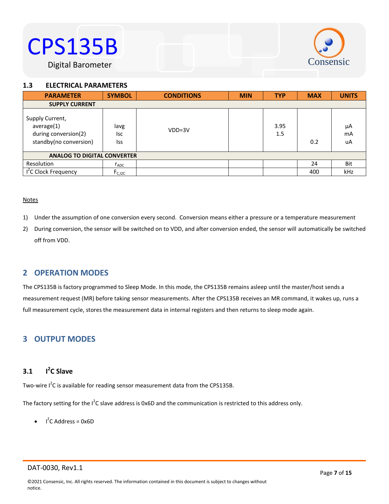# CPS135B





# <span id="page-6-0"></span>1.3 **ELECTRICAL PARAMETERS**

| <b>PARAMETER</b>                                                                | <b>SYMBOL</b>             | <b>CONDITIONS</b> | <b>MIN</b> | <b>TYP</b>  | <b>MAX</b> | <b>UNITS</b>   |
|---------------------------------------------------------------------------------|---------------------------|-------------------|------------|-------------|------------|----------------|
| <b>SUPPLY CURRENT</b>                                                           |                           |                   |            |             |            |                |
| Supply Current,<br>average(1)<br>during conversion(2)<br>standby(no conversion) | lavg<br><b>Isc</b><br>Iss | $VDD=3V$          |            | 3.95<br>1.5 | 0.2        | μA<br>mA<br>uA |
| <b>ANALOG TO DIGITAL CONVERTER</b>                                              |                           |                   |            |             |            |                |
| Resolution                                                                      | $r_{ADC}$                 |                   |            |             | 24         | Bit            |
| I <sup>2</sup> C Clock Frequency                                                | F <sub>C, I2C</sub>       |                   |            |             | 400        | kHz            |

## **Notes**

- 1) Under the assumption of one conversion every second. Conversion means either a pressure or a temperature measurement
- 2) During conversion, the sensor will be switched on to VDD, and after conversion ended, the sensor will automatically be switched off from VDD.

# <span id="page-6-1"></span>**2 OPERATION MODES**

The CPS135B is factory programmed to Sleep Mode. In this mode, the CPS135B remains asleep until the master/host sends a measurement request (MR) before taking sensor measurements. After the CPS135B receives an MR command, it wakes up, runs a full measurement cycle, stores the measurement data in internal registers and then returns to sleep mode again.

# <span id="page-6-2"></span>**3 OUTPUT MODES**

### <span id="page-6-3"></span>**3.1 I 2 C Slave**

Two-wire  $I^2C$  is available for reading sensor measurement data from the CPS135B.

The factory setting for the I<sup>2</sup>C slave address is 0x6D and the communication is restricted to this address only.

 $I^2C$  Address = 0x6D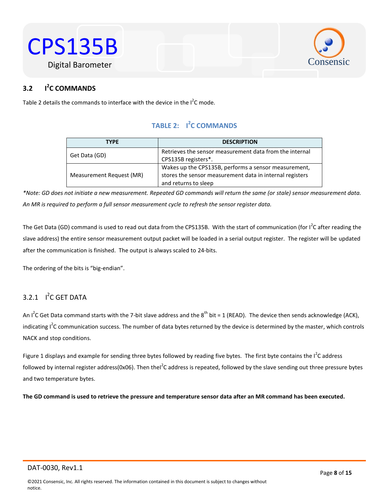



## <span id="page-7-0"></span><sup>2</sup>C COMMANDS **3.2 I**

<span id="page-7-1"></span>Table 2 details the commands to interface with the device in the  $I^2C$  mode.

# **TABLE 2: I 2 C COMMANDS**

| <b>TYPF</b>              | <b>DESCRIPTION</b>                                                                                                                       |
|--------------------------|------------------------------------------------------------------------------------------------------------------------------------------|
| Get Data (GD)            | Retrieves the sensor measurement data from the internal<br>CPS135B registers*.                                                           |
| Measurement Request (MR) | Wakes up the CPS135B, performs a sensor measurement,<br>stores the sensor measurement data in internal registers<br>and returns to sleep |

*\*Note: GD does not initiate a new measurement. Repeated GD commands will return the same (or stale) sensor measurement data. An MR is required to perform a full sensor measurement cycle to refresh the sensor register data.*

The Get Data (GD) command is used to read out data from the CPS135B. With the start of communication (for I<sup>2</sup>C after reading the slave address) the entire sensor measurement output packet will be loaded in a serial output register. The register will be updated after the communication is finished. The output is always scaled to 24-bits.

The ordering of the bits is "big-endian".

# $3.2.1$  I<sup>2</sup>C GET DATA

An I<sup>2</sup>C Get Data command starts with the 7-bit slave address and the 8<sup>th</sup> bit = 1 (READ). The device then sends acknowledge (ACK), indicating I<sup>2</sup>C communication success. The number of data bytes returned by the device is determined by the master, which controls NACK and stop conditions.

Figure 1 displays and example for sending three bytes followed by reading five bytes. The first byte contains the I<sup>2</sup>C address followed by internal register address(0x06). Then thel<sup>2</sup>C address is repeated, followed by the slave sending out three pressure bytes and two temperature bytes.

**The GD command is used to retrieve the pressure and temperature sensor data after an MR command has been executed.**

notice.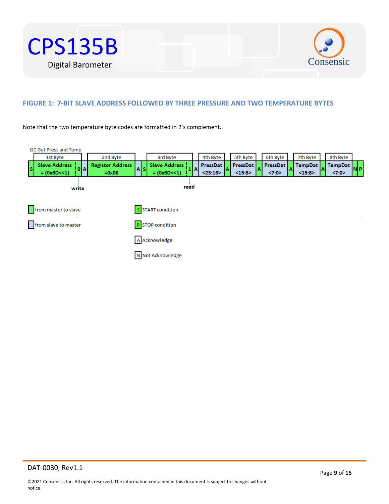



# **FIGURE 1: 7-BIT SLAVE ADDRESS FOLLOWED BY THREE PRESSURE AND TWO TEMPERATURE BYTES**

Note that the two temperature byte codes are formatted in 2's complement.

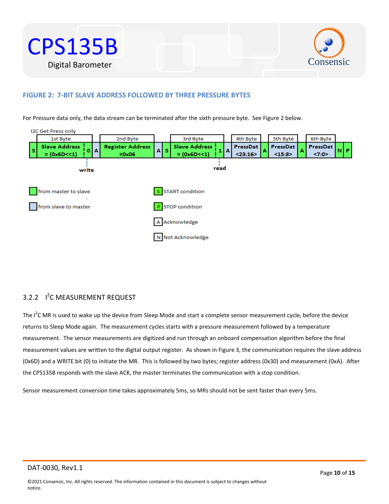



# **FIGURE 2: 7-BIT SLAVE ADDRESS FOLLOWED BY THREE PRESSURE BYTES**

For Pressure data only, the data stream can be terminated after the sixth pressure byte. See Figure 2 below.



# 3.2.2 <sup>1<sup>2</sup>C MEASUREMENT REQUEST</sup>

The I<sup>2</sup>C MR is used to wake up the device from Sleep Mode and start a complete sensor measurement cycle, before the device returns to Sleep Mode again. The measurement cycles starts with a pressure measurement followed by a temperature measurement. The sensor measurements are digitized and run through an onboard compensation algorithm before the final measurement values are written to the digital output register. As shown in Figure 3, the communication requires the slave address (0x6D) and a WRITE bit (0) to initiate the MR. This is followed by two bytes; register address (0x30) and measurement (0xA). After the CPS135B responds with the slave ACK, the master terminates the communication with a stop condition.

Sensor measurement conversion time takes approximately 5ms, so MRs should not be sent faster than every 5ms.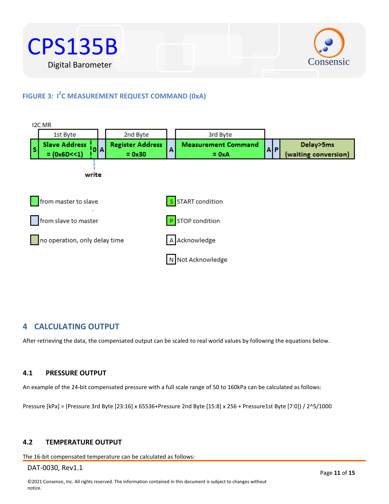



# **FIGURE 3: I 2 C MEASUREMENT REQUEST COMMAND (0xA)**



# <span id="page-10-0"></span>**4 CALCULATING OUTPUT**

After retrieving the data, the compensated output can be scaled to real world values by following the equations below.

# <span id="page-10-1"></span>**4.1 PRESSURE OUTPUT**

An example of the 24-bit compensated pressure with a full scale range of 50 to 160kPa can be calculated as follows:

Pressure [kPa] = (Pressure 3rd Byte [23:16] x 65536+Pressure 2nd Byte [15:8] x 256 + Pressure1st Byte [7:0]) / 2^5/1000

# <span id="page-10-2"></span>**4.2 TEMPERATURE OUTPUT**

The 16-bit compensated temperature can be calculated as follows: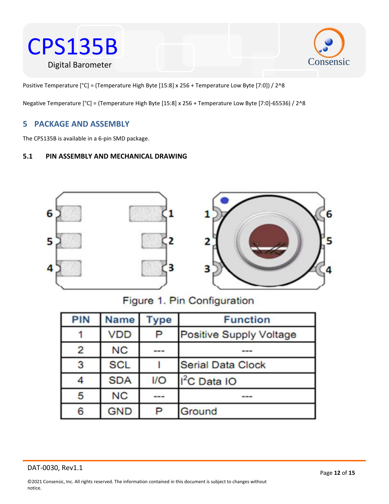



Positive Temperature [°C] = (Temperature High Byte [15:8] x 256 + Temperature Low Byte [7:0]) / 2^8

Negative Temperature [°C] = (Temperature High Byte [15:8] x 256 + Temperature Low Byte [7:0]-65536) / 2^8

# <span id="page-11-0"></span>**5 PACKAGE AND ASSEMBLY**

The CPS135B is available in a 6-pin SMD package.

# <span id="page-11-1"></span>**5.1 PIN ASSEMBLY AND MECHANICAL DRAWING**



# Figure 1. Pin Configuration

| <b>PIN</b> | <b>Name</b> | <b>Type</b> | <b>Function</b>                |
|------------|-------------|-------------|--------------------------------|
|            | <b>VDD</b>  | P           | <b>Positive Supply Voltage</b> |
| 2          | <b>NC</b>   | ---         |                                |
| 3          | <b>SCL</b>  |             | <b>Serial Data Clock</b>       |
| 4          | <b>SDA</b>  | 1/O         | l <sup>2</sup> C Data IO       |
| 5          | <b>NC</b>   | ---         |                                |
| 6          | <b>GND</b>  | P           | Ground                         |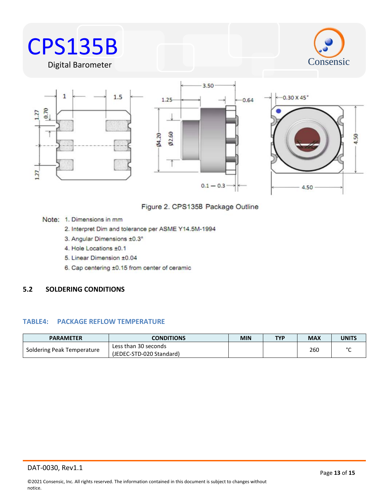

 $0.1 - 0.3$ 



 $Ø2.60$  $Q4.20$ 

Note: 1. Dimensions in mm

 $127$ 

- 2. Interpret Dim and tolerance per ASME Y14.5M-1994
- 3. Angular Dimensions ±0.3°
- 4. Hole Locations ±0.1
- 5. Linear Dimension ±0.04
- 6. Cap centering ±0.15 from center of ceramic

# <span id="page-12-0"></span>**5.2 SOLDERING CONDITIONS**

# **TABLE4: PACKAGE REFLOW TEMPERATURE**

| <b>PARAMETER</b>           | <b>CONDITIONS</b>                                | <b>MIN</b> | <b>TYP</b> | <b>MAX</b> | <b>UNITS</b> |
|----------------------------|--------------------------------------------------|------------|------------|------------|--------------|
| Soldering Peak Temperature | Less than 30 seconds<br>(JEDEC-STD-020 Standard) |            |            | 260        | $\sim$       |

4.50

4.50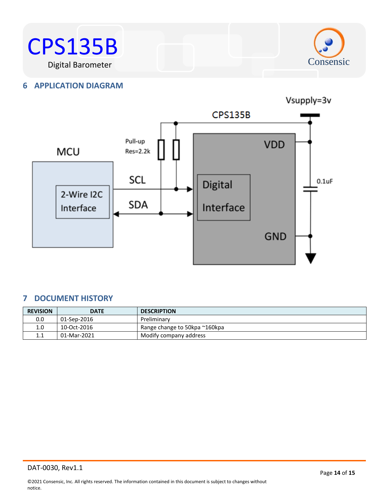



# <span id="page-13-0"></span>**6 APPLICATION DIAGRAM**



# <span id="page-13-1"></span>**7 DOCUMENT HISTORY**

| <b>REVISION</b> | <b>DATE</b> | <b>DESCRIPTION</b>            |
|-----------------|-------------|-------------------------------|
| 0.0             | 01-Sep-2016 | Preliminary                   |
| 1.0             | 10-Oct-2016 | Range change to 50kpa ~160kpa |
| 1.1             | 01-Mar-2021 | Modify company address        |